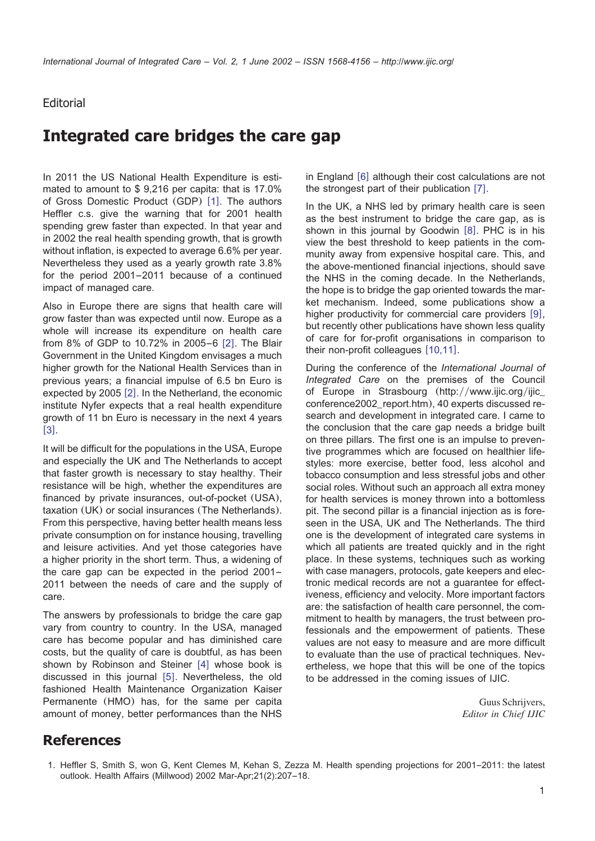## **Editorial**

## **Integrated care bridges the care gap**

In 2011 the US National Health Expenditure is estimated to amount to \$ 9,216 per capita: that is 17.0% of Gross Domestic Product (GDP) [1]. The authors Heffler c.s. give the warning that for 2001 health spending grew faster than expected. In that year and in 2002 the real health spending growth, that is growth without inflation, is expected to average 6.6% per year. Nevertheless they used as a yearly growth rate 3.8% for the period 2001–2011 because of a continued impact of managed care.

Also in Europe there are signs that health care will grow faster than was expected until now. Europe as a whole will increase its expenditure on health care from 8% of GDP to 10.7[2](#page-1-0)% in 2005–6  $[2]$ . The Blair Government in the United Kingdom envisages a much higher growth for the National Health Services than in previous years; a financial impulse of 6.5 bn Euro is expected by [2](#page-1-0)005  $[2]$ . In the Netherland, the economic institute Nyfer expects that a real health expenditure growth of 11 bn Euro is necessary in the next 4 years  $[3]$  $[3]$  $[3]$ .

It will be difficult for the populations in the USA, Europe and especially the UK and The Netherlands to accept that faster growth is necessary to stay healthy. Their resistance will be high, whether the expenditures are financed by private insurances, out-of-pocket (USA), taxation (UK) or social insurances (The Netherlands). From this perspective, having better health means less private consumption on for instance housing, travelling and leisure activities. And yet those categories have a higher priority in the short term. Thus, a widening of the care gap can be expected in the period 2001– 2011 between the needs of care and the supply of care.

The answers by professionals to bridge the care gap vary from country to country. In the USA, managed care has become popular and has diminished care costs, but the quality of care is doubtful, as has been shown by Robinson and Steiner  $[4]$  $[4]$  $[4]$  whose book is discussed in this journal  $[5]$  $[5]$  $[5]$ . Nevertheless, the old fashioned Health Maintenance Organization Kaiser Permanente (HMO) has, for the same per capita amount of money, better performances than the NHS

in England  $[6]$  $[6]$  $[6]$  although their cost calculations are not the strongest part of their publication  $[7]$  $[7]$  $[7]$ .

In the UK, a NHS led by primary health care is seen as the best instrument to bridge the care gap, as is shown in this journal by Goodwin  $[8]$  $[8]$  $[8]$ . PHC is in his view the best threshold to keep patients in the community away from expensive hospital care. This, and the above-mentioned financial injections, should save the NHS in the coming decade. In the Netherlands, the hope is to bridge the gap oriented towards the market mechanism. Indeed, some publications show a higher productivity for commercial care providers [[9](#page-1-0)], but recently other publications have shown less quality of care for for-profit organisations in comparison to their non-profit colleagues  $[10,11]$  $[10,11]$  $[10,11]$ .

During the conference of the *International Journal of Integrated Care* on the premises of the Council of Europe in Strasbourg (http://www.ijic.org/ijic conference2002\_report.htm), 40 experts discussed research and development in integrated care. I came to the conclusion that the care gap needs a bridge built on three pillars. The first one is an impulse to preventive programmes which are focused on healthier lifestyles: more exercise, better food, less alcohol and tobacco consumption and less stressful jobs and other social roles. Without such an approach all extra money for health services is money thrown into a bottomless pit. The second pillar is a financial injection as is foreseen in the USA, UK and The Netherlands. The third one is the development of integrated care systems in which all patients are treated quickly and in the right place. In these systems, techniques such as working with case managers, protocols, gate keepers and electronic medical records are not a guarantee for effectiveness, efficiency and velocity. More important factors are: the satisfaction of health care personnel, the commitment to health by managers, the trust between professionals and the empowerment of patients. These values are not easy to measure and are more difficult to evaluate than the use of practical techniques. Nevertheless, we hope that this will be one of the topics to be addressed in the coming issues of IJIC.

> Guus Schrijvers, *Editor in Chief IJIC*

## **References**

<sup>1.</sup> Heffler S, Smith S, won G, Kent Clemes M, Kehan S, Zezza M. Health spending projections for 2001–2011: the latest outlook. Health Affairs (Millwood) 2002 Mar-Apr;21(2):207–18.